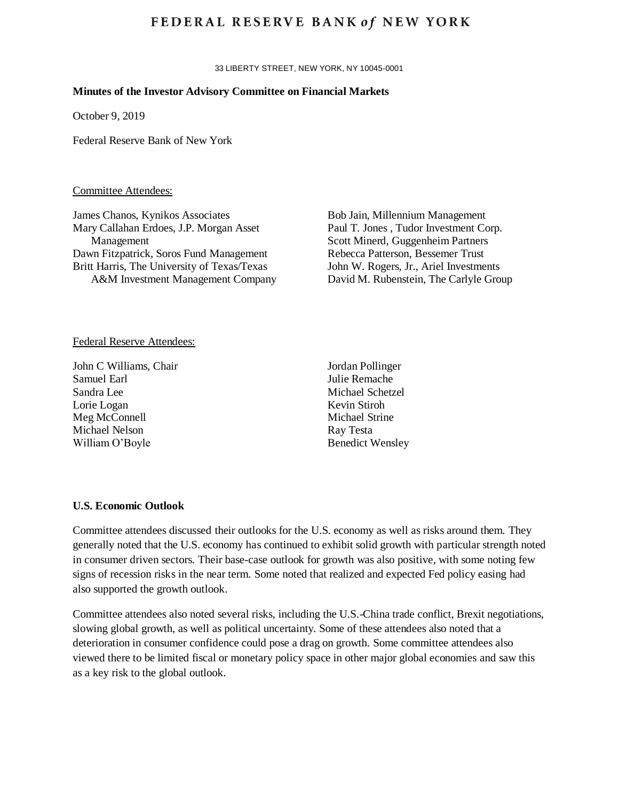## **FEDERAL RESERVE BANK of NEW YORK**

33 LIBERTY STREET, NEW YORK, NY 10045-0001

#### **Minutes of the Investor Advisory Committee on Financial Markets**

October 9, 2019

Federal Reserve Bank of New York

#### Committee Attendees:

James Chanos, Kynikos Associates Mary Callahan Erdoes, J.P. Morgan Asset Management Dawn Fitzpatrick, Soros Fund Management Britt Harris, The University of Texas/Texas A&M Investment Management Company

Bob Jain, Millennium Management Paul T. Jones , Tudor Investment Corp. Scott Minerd, Guggenheim Partners Rebecca Patterson, Bessemer Trust John W. Rogers, Jr., Ariel Investments David M. Rubenstein, The Carlyle Group

#### Federal Reserve Attendees:

John C Williams, Chair Samuel Earl Sandra Lee Lorie Logan Meg McConnell Michael Nelson William O'Boyle

Jordan Pollinger Julie Remache Michael Schetzel Kevin Stiroh Michael Strine Ray Testa Benedict Wensley

## **U.S. Economic Outlook**

Committee attendees discussed their outlooks for the U.S. economy as well as risks around them. They generally noted that the U.S. economy has continued to exhibit solid growth with particular strength noted in consumer driven sectors. Their base-case outlook for growth was also positive, with some noting few signs of recession risks in the near term. Some noted that realized and expected Fed policy easing had also supported the growth outlook.

Committee attendees also noted several risks, including the U.S.-China trade conflict, Brexit negotiations, slowing global growth, as well as political uncertainty. Some of these attendees also noted that a deterioration in consumer confidence could pose a drag on growth. Some committee attendees also viewed there to be limited fiscal or monetary policy space in other major global economies and saw this as a key risk to the global outlook.